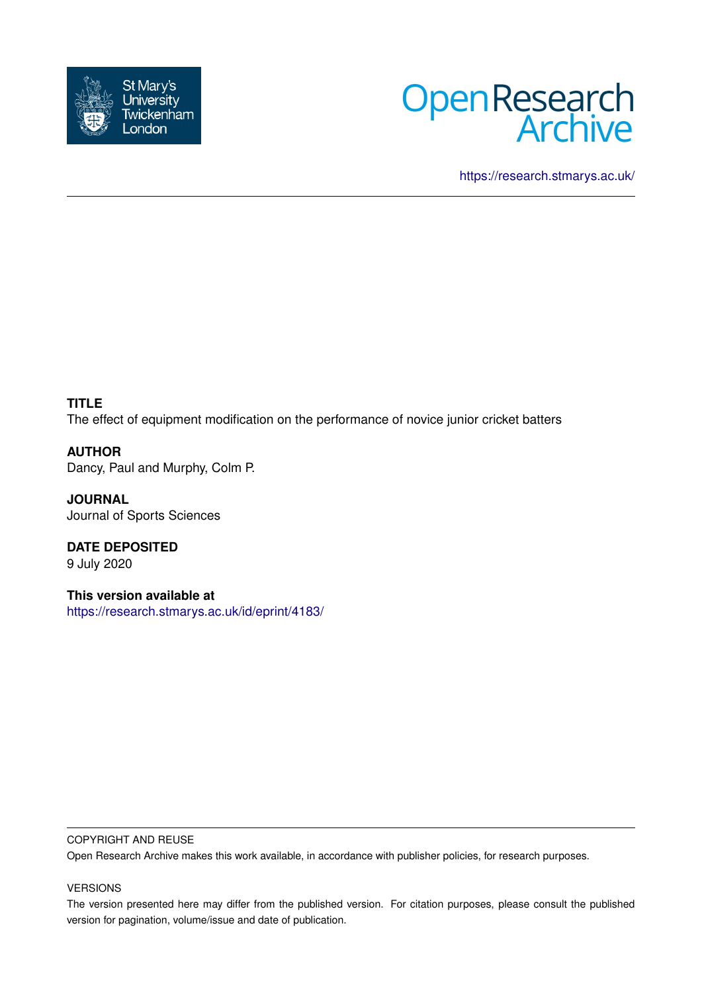



<https://research.stmarys.ac.uk/>

**TITLE** The effect of equipment modification on the performance of novice junior cricket batters

**AUTHOR** Dancy, Paul and Murphy, Colm P.

**JOURNAL** Journal of Sports Sciences

**DATE DEPOSITED** 9 July 2020

**This version available at** <https://research.stmarys.ac.uk/id/eprint/4183/>

## COPYRIGHT AND REUSE

Open Research Archive makes this work available, in accordance with publisher policies, for research purposes.

## VERSIONS

The version presented here may differ from the published version. For citation purposes, please consult the published version for pagination, volume/issue and date of publication.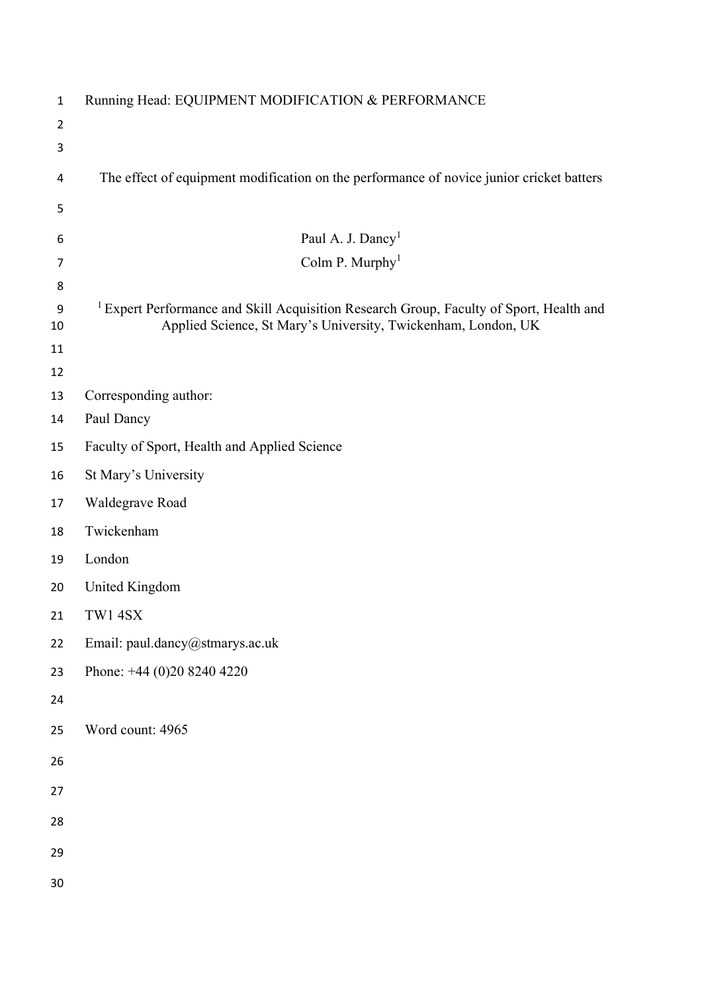| $\mathbf{1}$           | Running Head: EQUIPMENT MODIFICATION & PERFORMANCE                                                                                                                  |
|------------------------|---------------------------------------------------------------------------------------------------------------------------------------------------------------------|
| $\overline{2}$         |                                                                                                                                                                     |
| 3                      |                                                                                                                                                                     |
| 4                      | The effect of equipment modification on the performance of novice junior cricket batters                                                                            |
| 5                      |                                                                                                                                                                     |
| 6                      | Paul A. J. Dancy <sup>1</sup>                                                                                                                                       |
| $\overline{7}$         | Colm P. Murphy <sup>1</sup>                                                                                                                                         |
| 8                      |                                                                                                                                                                     |
| $\boldsymbol{9}$<br>10 | <sup>1</sup> Expert Performance and Skill Acquisition Research Group, Faculty of Sport, Health and<br>Applied Science, St Mary's University, Twickenham, London, UK |
| 11                     |                                                                                                                                                                     |
| 12                     |                                                                                                                                                                     |
| 13                     | Corresponding author:                                                                                                                                               |
| 14                     | Paul Dancy                                                                                                                                                          |
| 15                     | Faculty of Sport, Health and Applied Science                                                                                                                        |
| 16                     | St Mary's University                                                                                                                                                |
| 17                     | Waldegrave Road                                                                                                                                                     |
| 18                     | Twickenham                                                                                                                                                          |
| 19                     | London                                                                                                                                                              |
| 20                     | United Kingdom                                                                                                                                                      |
| 21                     | TW1 4SX                                                                                                                                                             |
| 22                     | Email: paul.dancy@stmarys.ac.uk                                                                                                                                     |
| 23                     | Phone: +44 (0)20 8240 4220                                                                                                                                          |
| 24                     |                                                                                                                                                                     |
| 25                     | Word count: 4965                                                                                                                                                    |
| 26                     |                                                                                                                                                                     |
| 27                     |                                                                                                                                                                     |
| 28                     |                                                                                                                                                                     |
| 29                     |                                                                                                                                                                     |
| 30                     |                                                                                                                                                                     |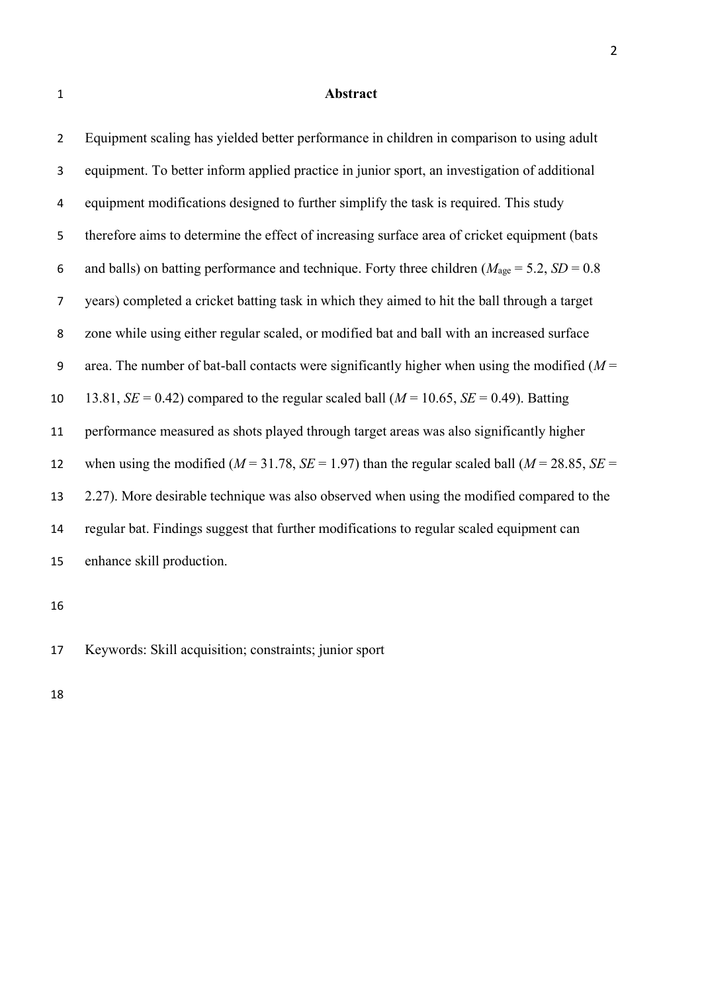#### **Abstract**

 Equipment scaling has yielded better performance in children in comparison to using adult equipment. To better inform applied practice in junior sport, an investigation of additional equipment modifications designed to further simplify the task is required. This study therefore aims to determine the effect of increasing surface area of cricket equipment (bats 6 and balls) on batting performance and technique. Forty three children ( $M_{\text{age}} = 5.2$ ,  $SD = 0.8$  years) completed a cricket batting task in which they aimed to hit the ball through a target zone while using either regular scaled, or modified bat and ball with an increased surface area. The number of bat-ball contacts were significantly higher when using the modified (*M* = 10 13.81,  $SE = 0.42$  compared to the regular scaled ball ( $M = 10.65$ ,  $SE = 0.49$ ). Batting performance measured as shots played through target areas was also significantly higher 12 when using the modified ( $M = 31.78$ ,  $SE = 1.97$ ) than the regular scaled ball ( $M = 28.85$ ,  $SE =$ 

 2.27). More desirable technique was also observed when using the modified compared to the regular bat. Findings suggest that further modifications to regular scaled equipment can

enhance skill production.

Keywords: Skill acquisition; constraints; junior sport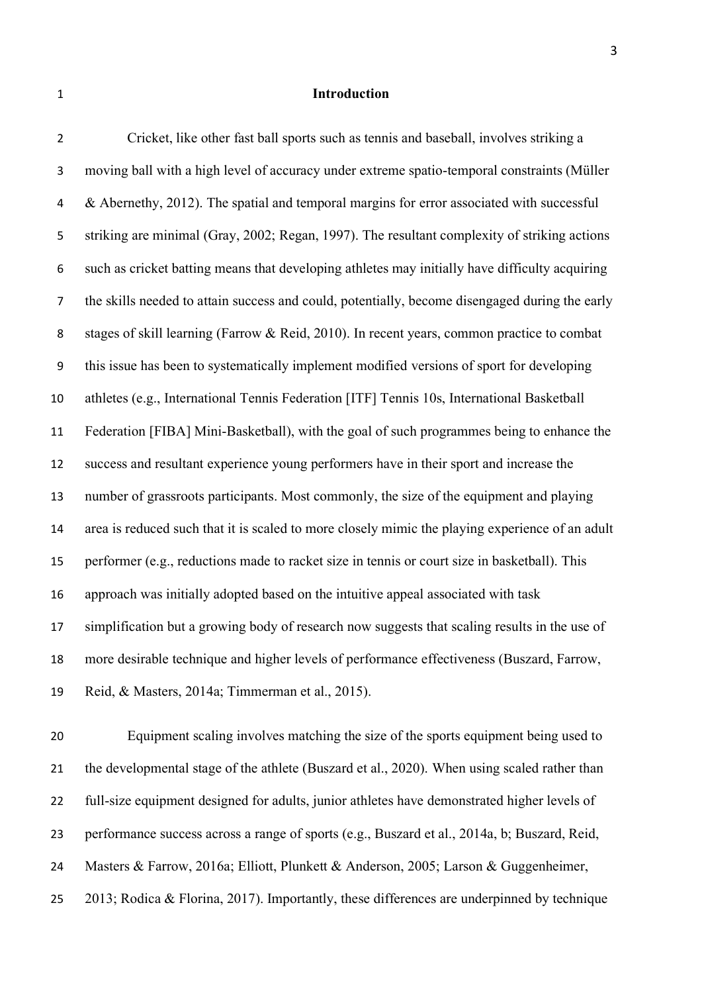### **Introduction**

 Cricket, like other fast ball sports such as tennis and baseball, involves striking a moving ball with a high level of accuracy under extreme spatio-temporal constraints (Müller & Abernethy, 2012). The spatial and temporal margins for error associated with successful striking are minimal (Gray, 2002; Regan, 1997). The resultant complexity of striking actions such as cricket batting means that developing athletes may initially have difficulty acquiring the skills needed to attain success and could, potentially, become disengaged during the early stages of skill learning (Farrow & Reid, 2010). In recent years, common practice to combat this issue has been to systematically implement modified versions of sport for developing athletes (e.g., International Tennis Federation [ITF] Tennis 10s, International Basketball Federation [FIBA] Mini-Basketball), with the goal of such programmes being to enhance the success and resultant experience young performers have in their sport and increase the number of grassroots participants. Most commonly, the size of the equipment and playing area is reduced such that it is scaled to more closely mimic the playing experience of an adult performer (e.g., reductions made to racket size in tennis or court size in basketball). This approach was initially adopted based on the intuitive appeal associated with task simplification but a growing body of research now suggests that scaling results in the use of more desirable technique and higher levels of performance effectiveness (Buszard, Farrow, Reid, & Masters, 2014a; Timmerman et al., 2015).

 Equipment scaling involves matching the size of the sports equipment being used to the developmental stage of the athlete (Buszard et al., 2020). When using scaled rather than 22 full-size equipment designed for adults, junior athletes have demonstrated higher levels of performance success across a range of sports (e.g., Buszard et al., 2014a, b; Buszard, Reid, Masters & Farrow, 2016a; Elliott, Plunkett & Anderson, 2005; Larson & Guggenheimer, 2013; Rodica & Florina, 2017). Importantly, these differences are underpinned by technique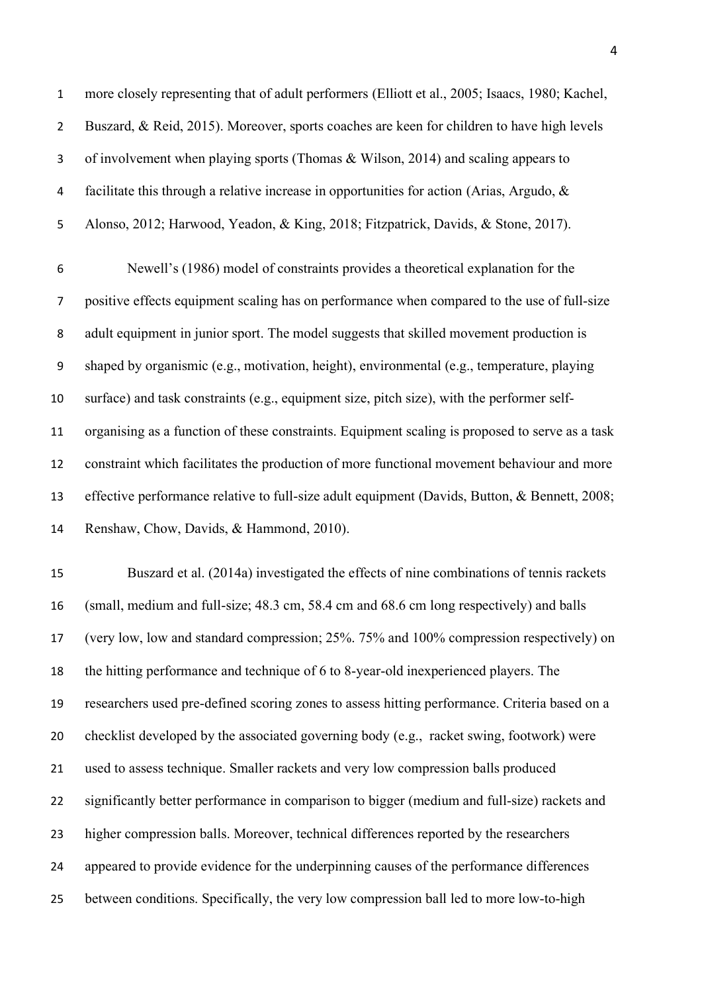more closely representing that of adult performers (Elliott et al., 2005; Isaacs, 1980; Kachel, Buszard, & Reid, 2015). Moreover, sports coaches are keen for children to have high levels of involvement when playing sports (Thomas & Wilson, 2014) and scaling appears to facilitate this through a relative increase in opportunities for action (Arias, Argudo, & Alonso, 2012; Harwood, Yeadon, & King, 2018; Fitzpatrick, Davids, & Stone, 2017).

 Newell's (1986) model of constraints provides a theoretical explanation for the positive effects equipment scaling has on performance when compared to the use of full-size adult equipment in junior sport. The model suggests that skilled movement production is shaped by organismic (e.g., motivation, height), environmental (e.g., temperature, playing surface) and task constraints (e.g., equipment size, pitch size), with the performer self- organising as a function of these constraints. Equipment scaling is proposed to serve as a task constraint which facilitates the production of more functional movement behaviour and more effective performance relative to full-size adult equipment (Davids, Button, & Bennett, 2008; Renshaw, Chow, Davids, & Hammond, 2010).

 Buszard et al. (2014a) investigated the effects of nine combinations of tennis rackets (small, medium and full-size; 48.3 cm, 58.4 cm and 68.6 cm long respectively) and balls (very low, low and standard compression; 25%. 75% and 100% compression respectively) on the hitting performance and technique of 6 to 8-year-old inexperienced players. The researchers used pre-defined scoring zones to assess hitting performance. Criteria based on a checklist developed by the associated governing body (e.g., racket swing, footwork) were used to assess technique. Smaller rackets and very low compression balls produced significantly better performance in comparison to bigger (medium and full-size) rackets and higher compression balls. Moreover, technical differences reported by the researchers appeared to provide evidence for the underpinning causes of the performance differences between conditions. Specifically, the very low compression ball led to more low-to-high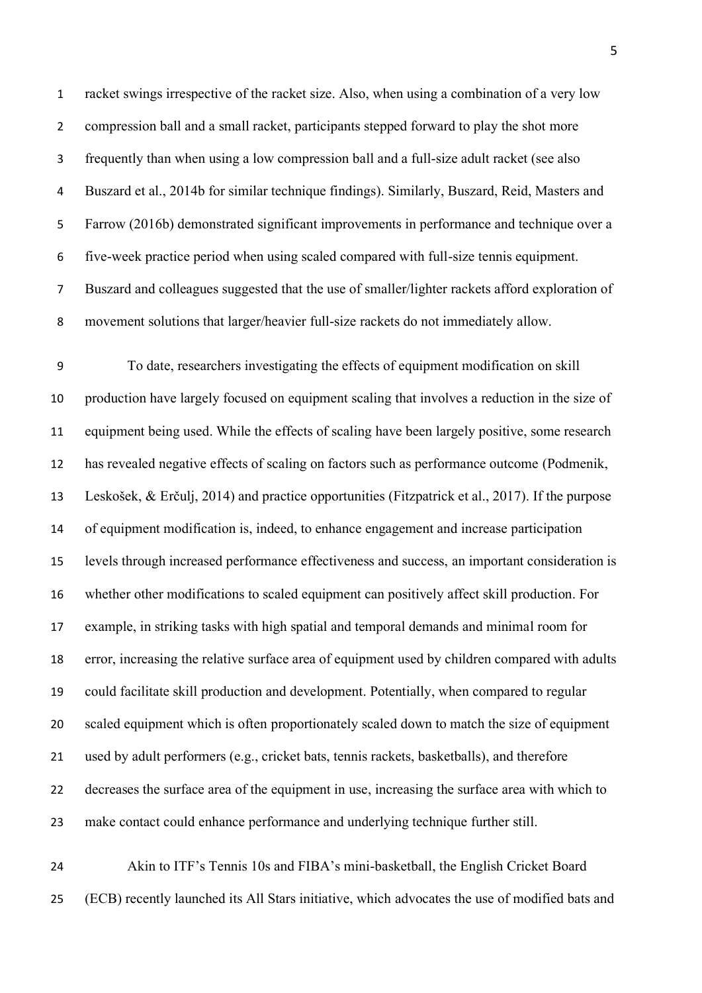racket swings irrespective of the racket size. Also, when using a combination of a very low compression ball and a small racket, participants stepped forward to play the shot more frequently than when using a low compression ball and a full-size adult racket (see also Buszard et al., 2014b for similar technique findings). Similarly, Buszard, Reid, Masters and Farrow (2016b) demonstrated significant improvements in performance and technique over a five-week practice period when using scaled compared with full-size tennis equipment. Buszard and colleagues suggested that the use of smaller/lighter rackets afford exploration of movement solutions that larger/heavier full-size rackets do not immediately allow.

 To date, researchers investigating the effects of equipment modification on skill production have largely focused on equipment scaling that involves a reduction in the size of equipment being used. While the effects of scaling have been largely positive, some research has revealed negative effects of scaling on factors such as performance outcome (Podmenik, Leskošek, & Erčulj, 2014) and practice opportunities (Fitzpatrick et al., 2017). If the purpose of equipment modification is, indeed, to enhance engagement and increase participation levels through increased performance effectiveness and success, an important consideration is whether other modifications to scaled equipment can positively affect skill production. For example, in striking tasks with high spatial and temporal demands and minimal room for error, increasing the relative surface area of equipment used by children compared with adults could facilitate skill production and development. Potentially, when compared to regular scaled equipment which is often proportionately scaled down to match the size of equipment used by adult performers (e.g., cricket bats, tennis rackets, basketballs), and therefore decreases the surface area of the equipment in use, increasing the surface area with which to make contact could enhance performance and underlying technique further still.

 Akin to ITF's Tennis 10s and FIBA's mini-basketball, the English Cricket Board (ECB) recently launched its All Stars initiative, which advocates the use of modified bats and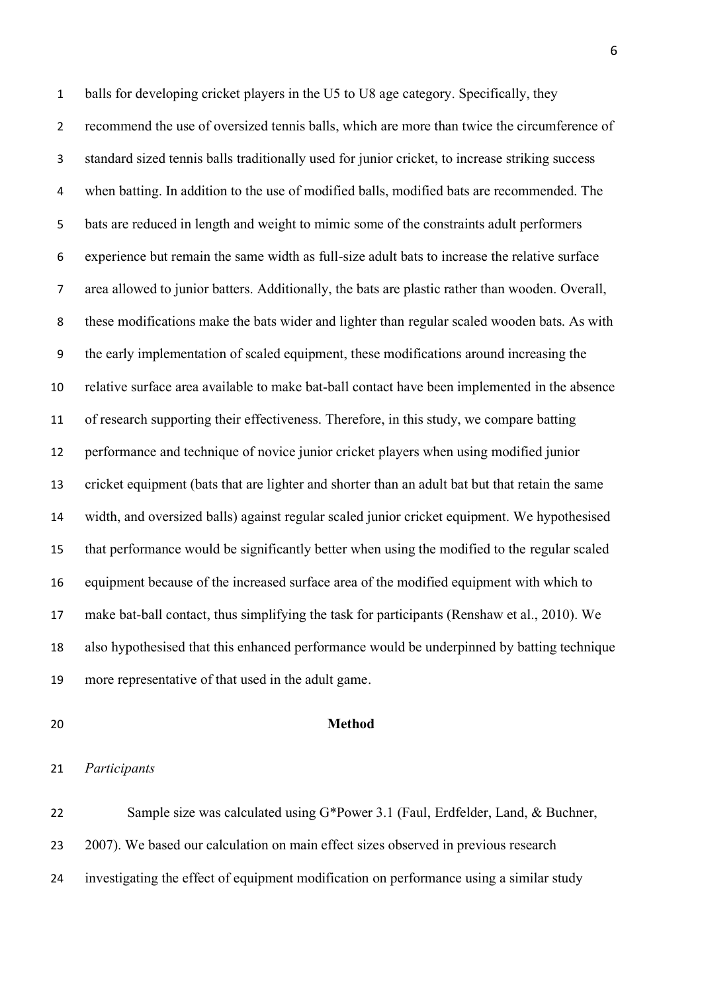balls for developing cricket players in the U5 to U8 age category. Specifically, they recommend the use of oversized tennis balls, which are more than twice the circumference of standard sized tennis balls traditionally used for junior cricket, to increase striking success when batting. In addition to the use of modified balls, modified bats are recommended. The bats are reduced in length and weight to mimic some of the constraints adult performers experience but remain the same width as full-size adult bats to increase the relative surface area allowed to junior batters. Additionally, the bats are plastic rather than wooden. Overall, these modifications make the bats wider and lighter than regular scaled wooden bats. As with the early implementation of scaled equipment, these modifications around increasing the relative surface area available to make bat-ball contact have been implemented in the absence of research supporting their effectiveness. Therefore, in this study, we compare batting performance and technique of novice junior cricket players when using modified junior cricket equipment (bats that are lighter and shorter than an adult bat but that retain the same width, and oversized balls) against regular scaled junior cricket equipment. We hypothesised that performance would be significantly better when using the modified to the regular scaled equipment because of the increased surface area of the modified equipment with which to make bat-ball contact, thus simplifying the task for participants (Renshaw et al., 2010). We also hypothesised that this enhanced performance would be underpinned by batting technique more representative of that used in the adult game.

#### **Method**

 Sample size was calculated using G\*Power 3.1 (Faul, Erdfelder, Land, & Buchner, 2007). We based our calculation on main effect sizes observed in previous research investigating the effect of equipment modification on performance using a similar study

*Participants*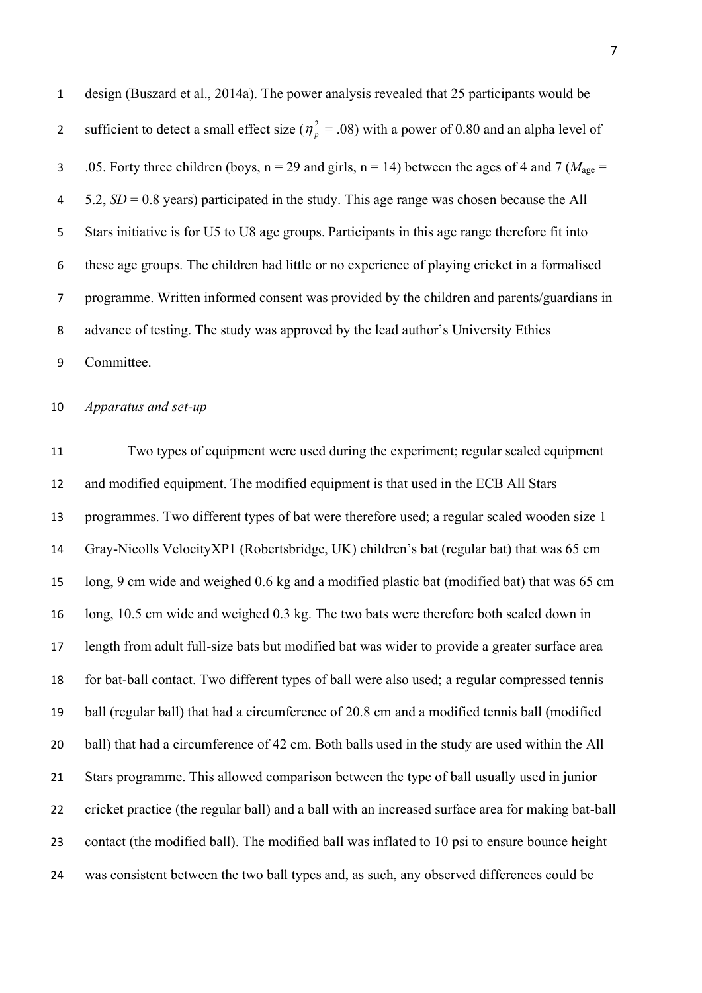design (Buszard et al., 2014a). The power analysis revealed that 25 participants would be sufficient to detect a small effect size ( $\eta_p^2 = .08$ ) with a power of 0.80 and an alpha level of 3 .05. Forty three children (boys,  $n = 29$  and girls,  $n = 14$ ) between the ages of 4 and 7 ( $M_{\text{age}} =$  5.2, *SD* = 0.8 years) participated in the study. This age range was chosen because the All Stars initiative is for U5 to U8 age groups. Participants in this age range therefore fit into these age groups. The children had little or no experience of playing cricket in a formalised programme. Written informed consent was provided by the children and parents/guardians in advance of testing. The study was approved by the lead author's University Ethics Committee.

*Apparatus and set-up*

 Two types of equipment were used during the experiment; regular scaled equipment and modified equipment. The modified equipment is that used in the ECB All Stars programmes. Two different types of bat were therefore used; a regular scaled wooden size 1 Gray-Nicolls VelocityXP1 (Robertsbridge, UK) children's bat (regular bat) that was 65 cm long, 9 cm wide and weighed 0.6 kg and a modified plastic bat (modified bat) that was 65 cm long, 10.5 cm wide and weighed 0.3 kg. The two bats were therefore both scaled down in length from adult full-size bats but modified bat was wider to provide a greater surface area for bat-ball contact. Two different types of ball were also used; a regular compressed tennis ball (regular ball) that had a circumference of 20.8 cm and a modified tennis ball (modified ball) that had a circumference of 42 cm. Both balls used in the study are used within the All Stars programme. This allowed comparison between the type of ball usually used in junior cricket practice (the regular ball) and a ball with an increased surface area for making bat-ball contact (the modified ball). The modified ball was inflated to 10 psi to ensure bounce height was consistent between the two ball types and, as such, any observed differences could be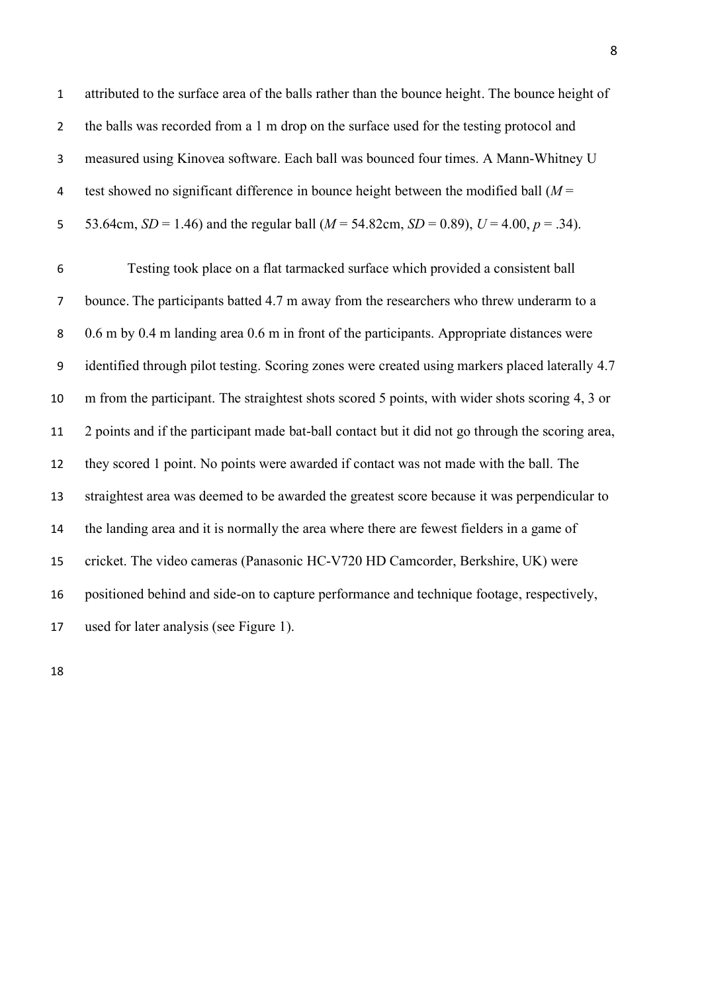attributed to the surface area of the balls rather than the bounce height. The bounce height of the balls was recorded from a 1 m drop on the surface used for the testing protocol and measured using Kinovea software. Each ball was bounced four times. A Mann-Whitney U test showed no significant difference in bounce height between the modified ball (*M* = 5 53.64cm,  $SD = 1.46$ ) and the regular ball ( $M = 54.82$ cm,  $SD = 0.89$ ),  $U = 4.00$ ,  $p = .34$ ).

 Testing took place on a flat tarmacked surface which provided a consistent ball bounce. The participants batted 4.7 m away from the researchers who threw underarm to a 0.6 m by 0.4 m landing area 0.6 m in front of the participants. Appropriate distances were identified through pilot testing. Scoring zones were created using markers placed laterally 4.7 m from the participant. The straightest shots scored 5 points, with wider shots scoring 4, 3 or 2 points and if the participant made bat-ball contact but it did not go through the scoring area, they scored 1 point. No points were awarded if contact was not made with the ball. The straightest area was deemed to be awarded the greatest score because it was perpendicular to the landing area and it is normally the area where there are fewest fielders in a game of cricket. The video cameras (Panasonic HC-V720 HD Camcorder, Berkshire, UK) were positioned behind and side-on to capture performance and technique footage, respectively, used for later analysis (see Figure 1).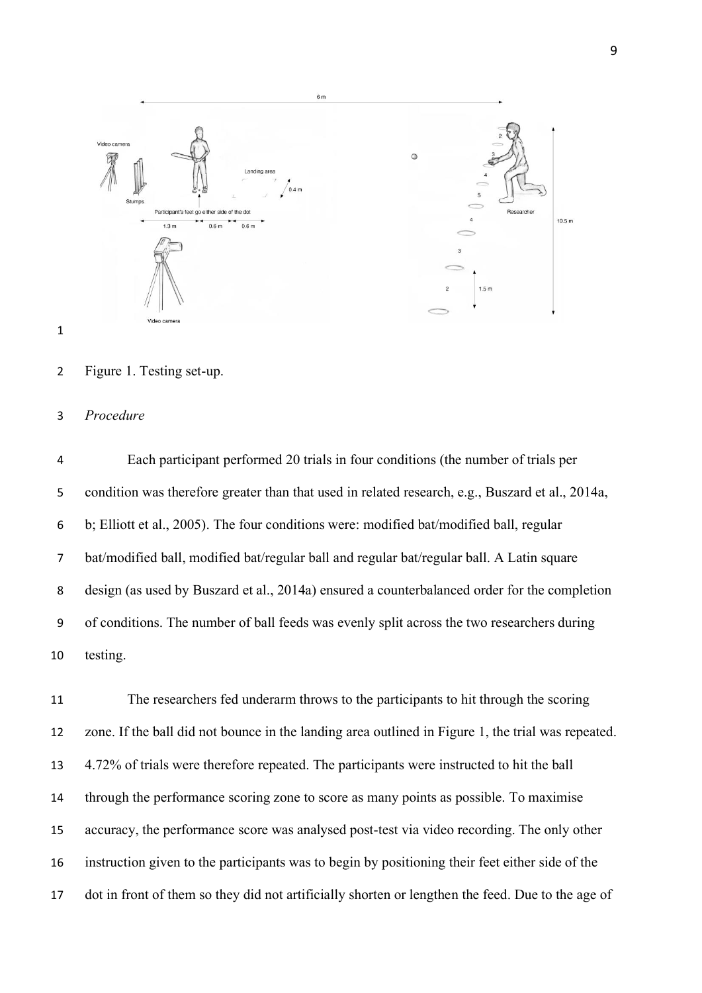

Figure 1. Testing set-up.

## *Procedure*

 Each participant performed 20 trials in four conditions (the number of trials per condition was therefore greater than that used in related research, e.g., Buszard et al., 2014a, b; Elliott et al., 2005). The four conditions were: modified bat/modified ball, regular bat/modified ball, modified bat/regular ball and regular bat/regular ball. A Latin square design (as used by Buszard et al., 2014a) ensured a counterbalanced order for the completion of conditions. The number of ball feeds was evenly split across the two researchers during testing.

 The researchers fed underarm throws to the participants to hit through the scoring zone. If the ball did not bounce in the landing area outlined in Figure 1, the trial was repeated. 4.72% of trials were therefore repeated. The participants were instructed to hit the ball through the performance scoring zone to score as many points as possible. To maximise accuracy, the performance score was analysed post-test via video recording. The only other instruction given to the participants was to begin by positioning their feet either side of the dot in front of them so they did not artificially shorten or lengthen the feed. Due to the age of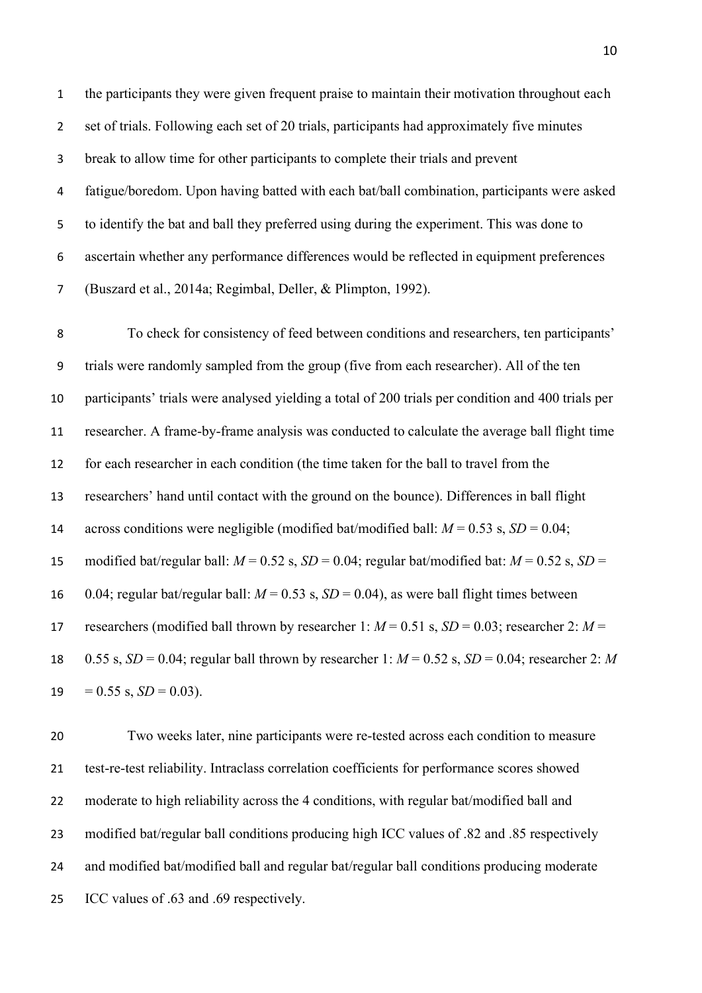the participants they were given frequent praise to maintain their motivation throughout each set of trials. Following each set of 20 trials, participants had approximately five minutes break to allow time for other participants to complete their trials and prevent fatigue/boredom. Upon having batted with each bat/ball combination, participants were asked to identify the bat and ball they preferred using during the experiment. This was done to ascertain whether any performance differences would be reflected in equipment preferences (Buszard et al., 2014a; Regimbal, Deller, & Plimpton, 1992).

 To check for consistency of feed between conditions and researchers, ten participants' trials were randomly sampled from the group (five from each researcher). All of the ten participants' trials were analysed yielding a total of 200 trials per condition and 400 trials per researcher. A frame-by-frame analysis was conducted to calculate the average ball flight time for each researcher in each condition (the time taken for the ball to travel from the researchers' hand until contact with the ground on the bounce). Differences in ball flight 14 across conditions were negligible (modified bat/modified ball:  $M = 0.53$  s,  $SD = 0.04$ ; 15 modified bat/regular ball:  $M = 0.52$  s,  $SD = 0.04$ ; regular bat/modified bat:  $M = 0.52$  s,  $SD =$ 16 0.04; regular bat/regular ball:  $M = 0.53$  s,  $SD = 0.04$ ), as were ball flight times between 17 researchers (modified ball thrown by researcher 1:  $M = 0.51$  s,  $SD = 0.03$ ; researcher 2:  $M =$  0.55 s, *SD* = 0.04; regular ball thrown by researcher 1: *M* = 0.52 s, *SD* = 0.04; researcher 2: *M* 19 =  $0.55$  s,  $SD = 0.03$ ).

 Two weeks later, nine participants were re-tested across each condition to measure test-re-test reliability. Intraclass correlation coefficients for performance scores showed 22 moderate to high reliability across the 4 conditions, with regular bat/modified ball and modified bat/regular ball conditions producing high ICC values of .82 and .85 respectively 24 and modified bat/modified ball and regular bat/regular ball conditions producing moderate ICC values of .63 and .69 respectively.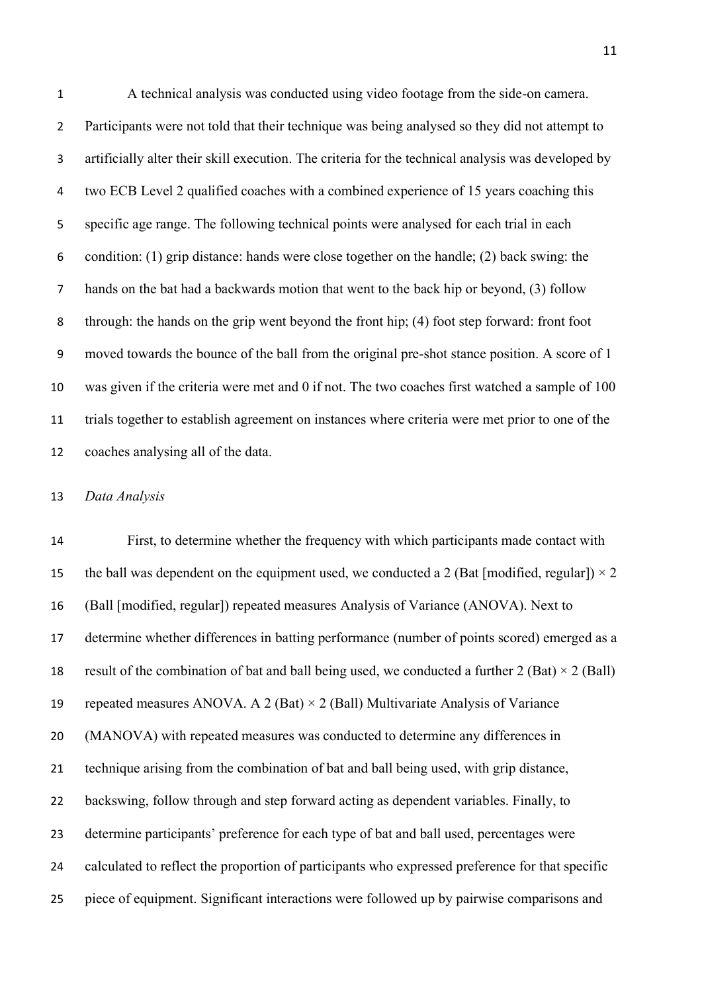A technical analysis was conducted using video footage from the side-on camera. Participants were not told that their technique was being analysed so they did not attempt to artificially alter their skill execution. The criteria for the technical analysis was developed by two ECB Level 2 qualified coaches with a combined experience of 15 years coaching this specific age range. The following technical points were analysed for each trial in each condition: (1) grip distance: hands were close together on the handle; (2) back swing: the hands on the bat had a backwards motion that went to the back hip or beyond, (3) follow through: the hands on the grip went beyond the front hip; (4) foot step forward: front foot moved towards the bounce of the ball from the original pre-shot stance position. A score of 1 was given if the criteria were met and 0 if not. The two coaches first watched a sample of 100 trials together to establish agreement on instances where criteria were met prior to one of the coaches analysing all of the data.

## *Data Analysis*

 First, to determine whether the frequency with which participants made contact with 15 the ball was dependent on the equipment used, we conducted a 2 (Bat [modified, regular])  $\times$  2 (Ball [modified, regular]) repeated measures Analysis of Variance (ANOVA). Next to determine whether differences in batting performance (number of points scored) emerged as a 18 result of the combination of bat and ball being used, we conducted a further (Bat)  $\times$  2 (Ball) 19 repeated measures ANOVA. A 2 (Bat)  $\times$  2 (Ball) Multivariate Analysis of Variance (MANOVA) with repeated measures was conducted to determine any differences in technique arising from the combination of bat and ball being used, with grip distance, 22 backswing, follow through and step forward acting as dependent variables. Finally, to determine participants' preference for each type of bat and ball used, percentages were calculated to reflect the proportion of participants who expressed preference for that specific piece of equipment. Significant interactions were followed up by pairwise comparisons and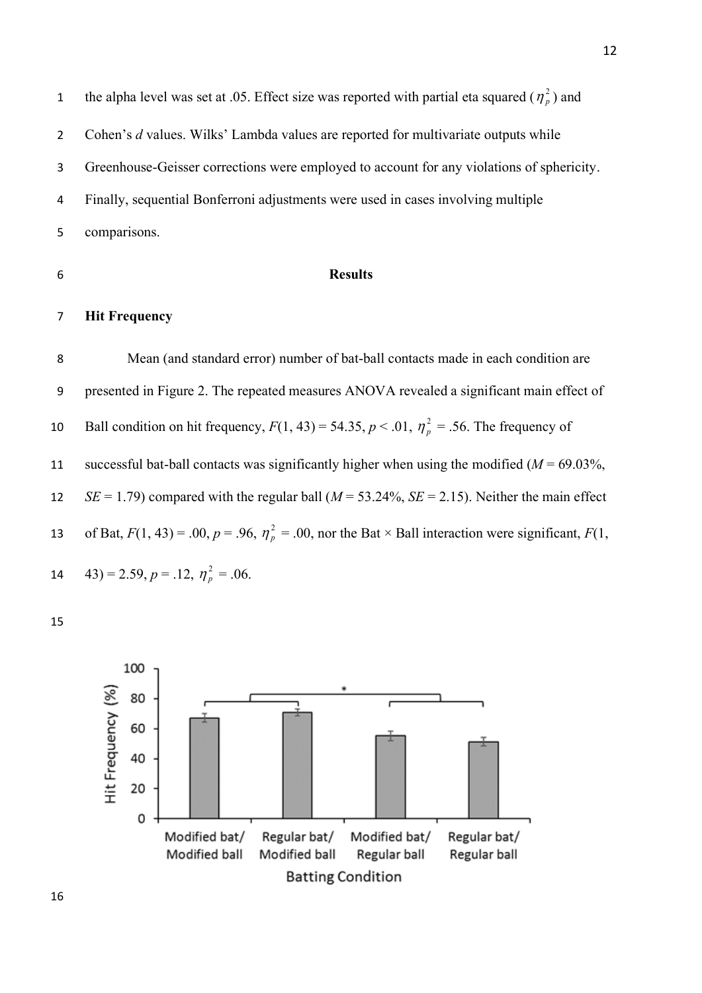1 the alpha level was set at .05. Effect size was reported with partial eta squared  $(\eta_p^2)$  and Cohen's *d* values. Wilks' Lambda values are reported for multivariate outputs while Greenhouse-Geisser corrections were employed to account for any violations of sphericity. Finally, sequential Bonferroni adjustments were used in cases involving multiple comparisons.

### **Results**

## **Hit Frequency**

 Mean (and standard error) number of bat-ball contacts made in each condition are presented in Figure 2. The repeated measures ANOVA revealed a significant main effect of Ball condition on hit frequency,  $F(1, 43) = 54.35$ ,  $p < .01$ ,  $\eta_p^2 = .56$ . The frequency of 11 successful bat-ball contacts was significantly higher when using the modified  $(M = 69.03\%,$  *SE* = 1.79) compared with the regular ball (*M* = 53.24%, *SE* = 2.15). Neither the main effect of Bat,  $F(1, 43) = .00$ ,  $p = .96$ ,  $\eta_p^2 = .00$ , nor the Bat  $\times$  Ball interaction were significant,  $F(1, 43)$   $(43) = 2.59, p = .12, \eta_p^2 = .06.$ 

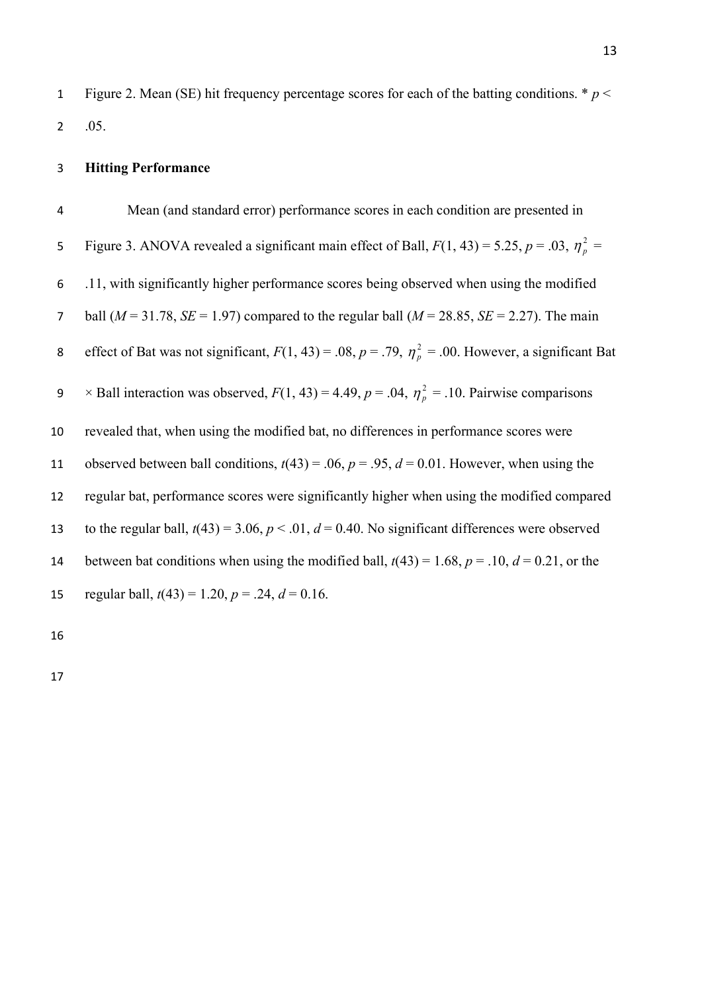1 Figure 2. Mean (SE) hit frequency percentage scores for each of the batting conditions.  $* p <$ 2 .05.

# 3 **Hitting Performance**

4 Mean (and standard error) performance scores in each condition are presented in Figure 3. ANOVA revealed a significant main effect of Ball,  $F(1, 43) = 5.25$ ,  $p = .03$ ,  $\eta_p^2 =$ 5 6 .11, with significantly higher performance scores being observed when using the modified 7 ball ( $M = 31.78$ ,  $SE = 1.97$ ) compared to the regular ball ( $M = 28.85$ ,  $SE = 2.27$ ). The main effect of Bat was not significant,  $F(1, 43) = .08$ ,  $p = .79$ ,  $\eta_p^2 = .00$ . However, a significant Bat 8  $\times$  Ball interaction was observed,  $F(1, 43) = 4.49$ ,  $p = .04$ ,  $\eta_p^2 = .10$ . Pairwise comparisons 9 10 revealed that, when using the modified bat, no differences in performance scores were 11 observed between ball conditions,  $t(43) = .06$ ,  $p = .95$ ,  $d = 0.01$ . However, when using the 12 regular bat, performance scores were significantly higher when using the modified compared 13 to the regular ball,  $t(43) = 3.06$ ,  $p < .01$ ,  $d = 0.40$ . No significant differences were observed 14 between bat conditions when using the modified ball,  $t(43) = 1.68$ ,  $p = .10$ ,  $d = 0.21$ , or the 15 regular ball,  $t(43) = 1.20$ ,  $p = .24$ ,  $d = 0.16$ .

16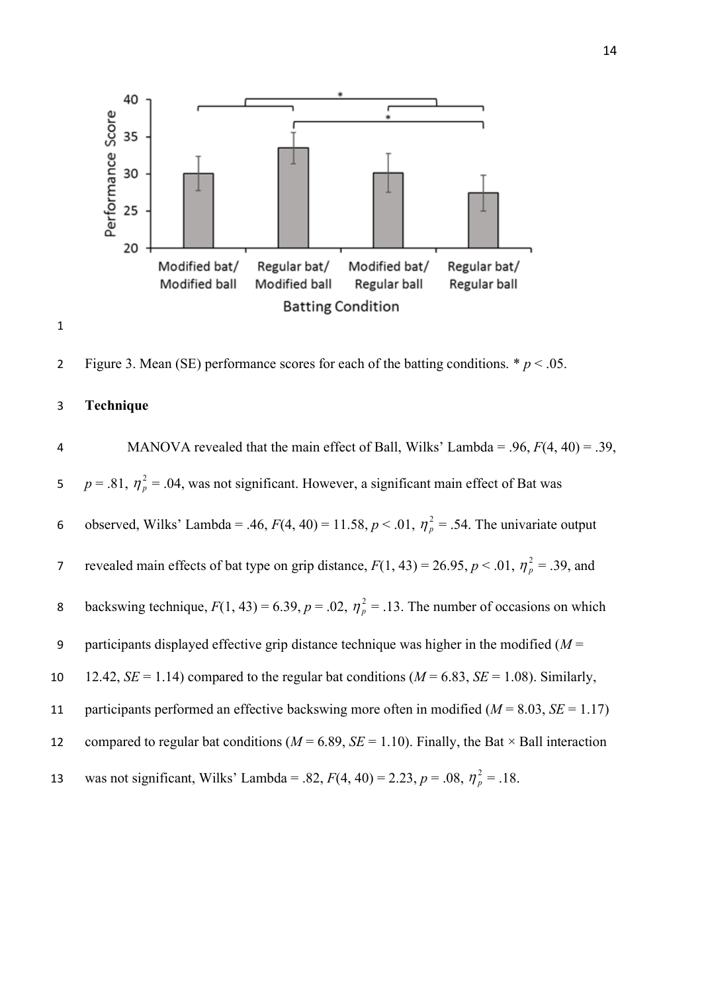

2 Figure 3. Mean (SE) performance scores for each of the batting conditions.  $p < .05$ .

## 3 **Technique**

1

4 MANOVA revealed that the main effect of Ball, Wilks' Lambda = .96, *F*(4, 40) = .39,  $p = .81, \eta_p^2 = .04$ , was not significant. However, a significant main effect of Bat was 5 observed, Wilks' Lambda = .46,  $F(4, 40) = 11.58$ ,  $p < .01$ ,  $\eta_p^2 = .54$ . The univariate output 6 revealed main effects of bat type on grip distance,  $F(1, 43) = 26.95$ ,  $p < .01$ ,  $\eta_p^2 = .39$ , and 7 backswing technique,  $F(1, 43) = 6.39$ ,  $p = .02$ ,  $\eta_p^2 = .13$ . The number of occasions on which 8 9 participants displayed effective grip distance technique was higher in the modified (*M* = 10 12.42,  $SE = 1.14$ ) compared to the regular bat conditions ( $M = 6.83$ ,  $SE = 1.08$ ). Similarly, 11 participants performed an effective backswing more often in modified (*M* = 8.03, *SE* = 1.17) 12 compared to regular bat conditions ( $M = 6.89$ ,  $SE = 1.10$ ). Finally, the Bat  $\times$  Ball interaction was not significant, Wilks' Lambda = .82,  $F(4, 40) = 2.23$ ,  $p = .08$ ,  $\eta_p^2 = .18$ . 13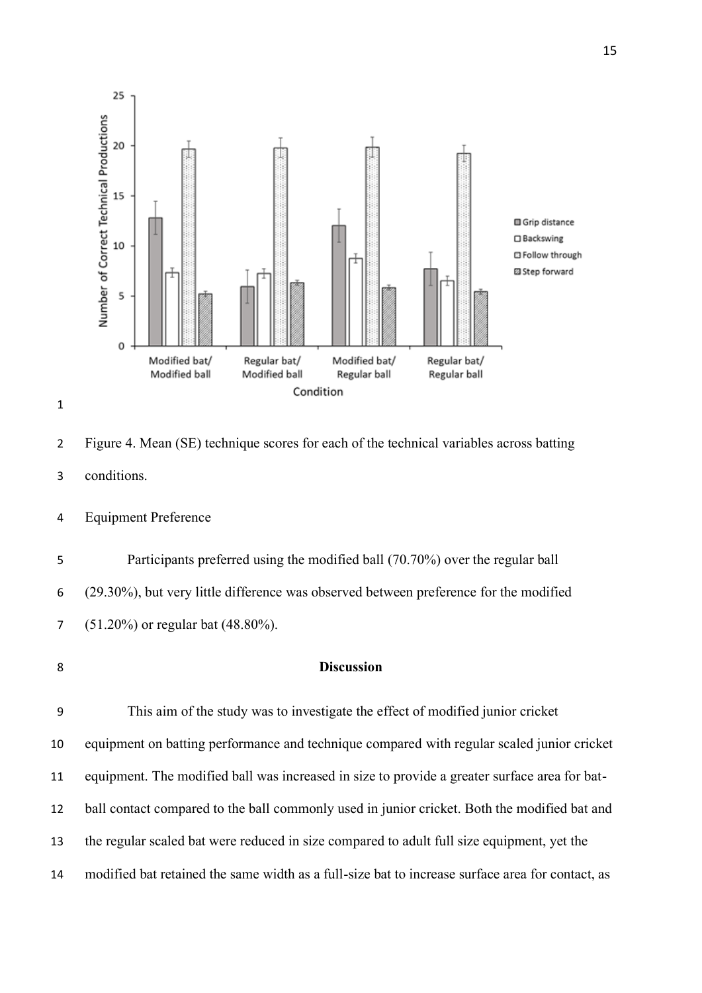



 Figure 4. Mean (SE) technique scores for each of the technical variables across batting conditions.

Equipment Preference

 Participants preferred using the modified ball (70.70%) over the regular ball (29.30%), but very little difference was observed between preference for the modified (51.20%) or regular bat (48.80%).

# **Discussion**

 This aim of the study was to investigate the effect of modified junior cricket equipment on batting performance and technique compared with regular scaled junior cricket equipment. The modified ball was increased in size to provide a greater surface area for bat- ball contact compared to the ball commonly used in junior cricket. Both the modified bat and the regular scaled bat were reduced in size compared to adult full size equipment, yet the modified bat retained the same width as a full-size bat to increase surface area for contact, as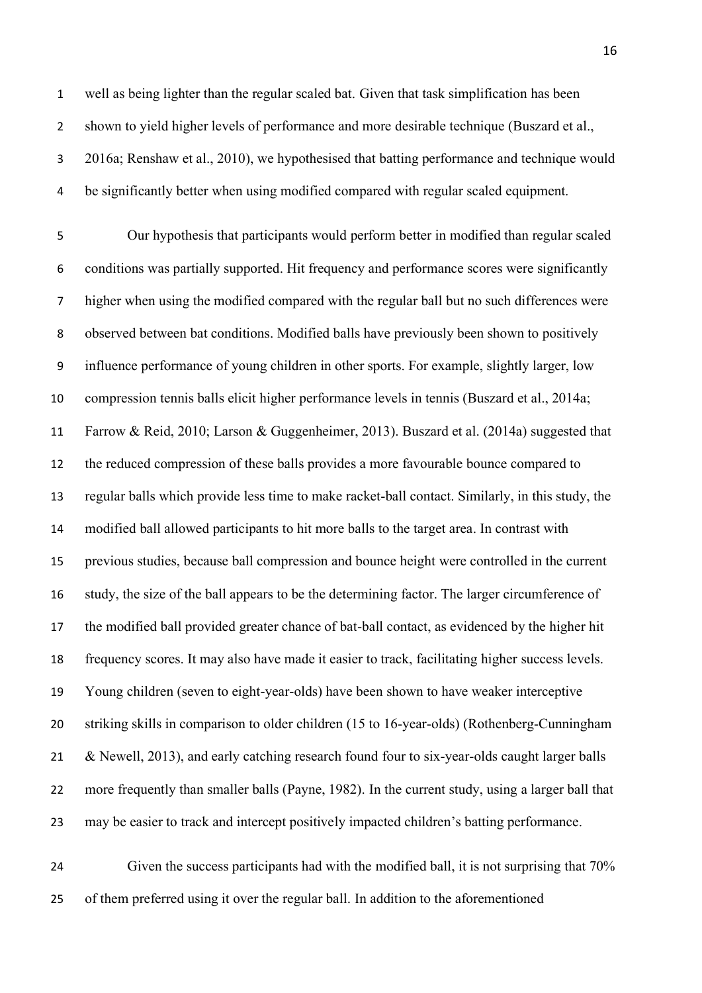well as being lighter than the regular scaled bat. Given that task simplification has been shown to yield higher levels of performance and more desirable technique (Buszard et al., 2016a; Renshaw et al., 2010), we hypothesised that batting performance and technique would be significantly better when using modified compared with regular scaled equipment.

 Our hypothesis that participants would perform better in modified than regular scaled conditions was partially supported. Hit frequency and performance scores were significantly higher when using the modified compared with the regular ball but no such differences were observed between bat conditions. Modified balls have previously been shown to positively influence performance of young children in other sports. For example, slightly larger, low compression tennis balls elicit higher performance levels in tennis (Buszard et al., 2014a; Farrow & Reid, 2010; Larson & Guggenheimer, 2013). Buszard et al. (2014a) suggested that the reduced compression of these balls provides a more favourable bounce compared to regular balls which provide less time to make racket-ball contact. Similarly, in this study, the modified ball allowed participants to hit more balls to the target area. In contrast with previous studies, because ball compression and bounce height were controlled in the current study, the size of the ball appears to be the determining factor. The larger circumference of the modified ball provided greater chance of bat-ball contact, as evidenced by the higher hit frequency scores. It may also have made it easier to track, facilitating higher success levels. Young children (seven to eight-year-olds) have been shown to have weaker interceptive striking skills in comparison to older children (15 to 16-year-olds) (Rothenberg-Cunningham 21 & Newell, 2013), and early catching research found four to six-year-olds caught larger balls more frequently than smaller balls (Payne, 1982). In the current study, using a larger ball that may be easier to track and intercept positively impacted children's batting performance.

 Given the success participants had with the modified ball, it is not surprising that 70% of them preferred using it over the regular ball. In addition to the aforementioned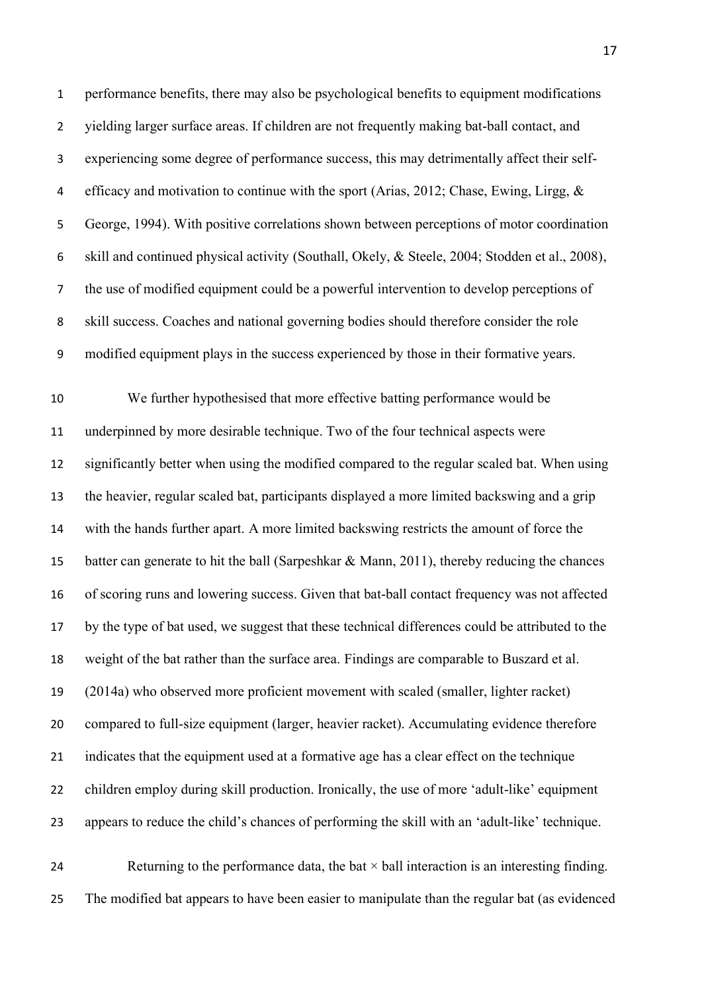performance benefits, there may also be psychological benefits to equipment modifications yielding larger surface areas. If children are not frequently making bat-ball contact, and experiencing some degree of performance success, this may detrimentally affect their self- efficacy and motivation to continue with the sport (Arias, 2012; Chase, Ewing, Lirgg, & George, 1994). With positive correlations shown between perceptions of motor coordination skill and continued physical activity (Southall, Okely, & Steele, 2004; Stodden et al., 2008), the use of modified equipment could be a powerful intervention to develop perceptions of skill success. Coaches and national governing bodies should therefore consider the role modified equipment plays in the success experienced by those in their formative years.

 We further hypothesised that more effective batting performance would be underpinned by more desirable technique. Two of the four technical aspects were significantly better when using the modified compared to the regular scaled bat. When using the heavier, regular scaled bat, participants displayed a more limited backswing and a grip with the hands further apart. A more limited backswing restricts the amount of force the batter can generate to hit the ball (Sarpeshkar & Mann, 2011), thereby reducing the chances of scoring runs and lowering success. Given that bat-ball contact frequency was not affected by the type of bat used, we suggest that these technical differences could be attributed to the weight of the bat rather than the surface area. Findings are comparable to Buszard et al. (2014a) who observed more proficient movement with scaled (smaller, lighter racket) compared to full-size equipment (larger, heavier racket). Accumulating evidence therefore indicates that the equipment used at a formative age has a clear effect on the technique children employ during skill production. Ironically, the use of more 'adult-like' equipment appears to reduce the child's chances of performing the skill with an 'adult-like' technique.

24 Returning to the performance data, the bat  $\times$  ball interaction is an interesting finding. The modified bat appears to have been easier to manipulate than the regular bat (as evidenced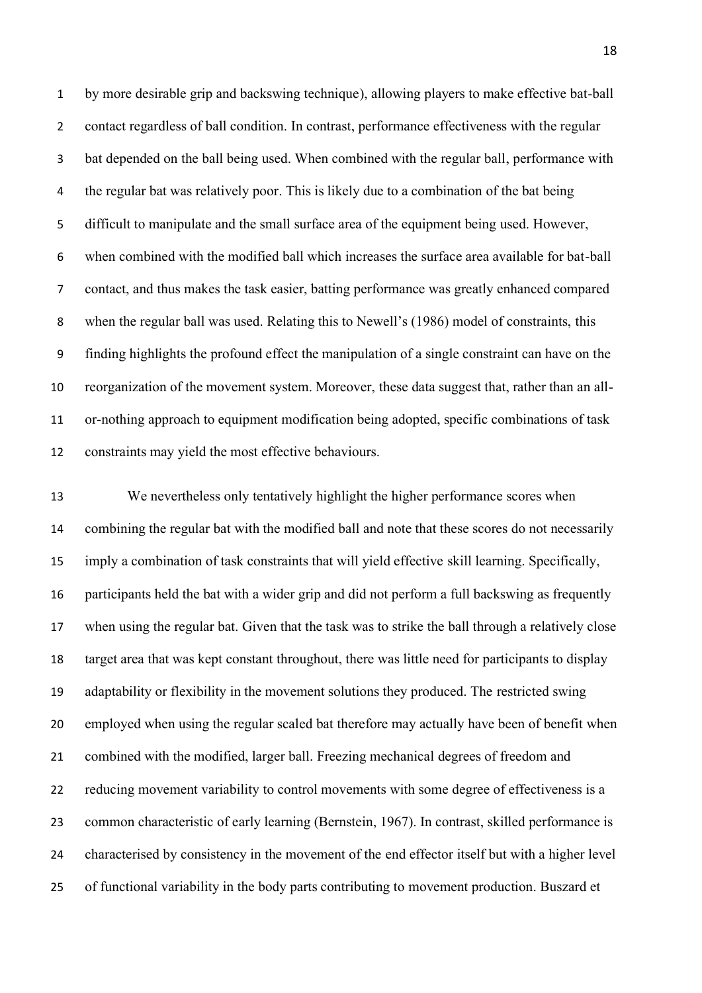by more desirable grip and backswing technique), allowing players to make effective bat-ball contact regardless of ball condition. In contrast, performance effectiveness with the regular bat depended on the ball being used. When combined with the regular ball, performance with the regular bat was relatively poor. This is likely due to a combination of the bat being difficult to manipulate and the small surface area of the equipment being used. However, when combined with the modified ball which increases the surface area available for bat-ball contact, and thus makes the task easier, batting performance was greatly enhanced compared when the regular ball was used. Relating this to Newell's (1986) model of constraints, this finding highlights the profound effect the manipulation of a single constraint can have on the reorganization of the movement system. Moreover, these data suggest that, rather than an all- or-nothing approach to equipment modification being adopted, specific combinations of task constraints may yield the most effective behaviours.

 We nevertheless only tentatively highlight the higher performance scores when combining the regular bat with the modified ball and note that these scores do not necessarily imply a combination of task constraints that will yield effective skill learning. Specifically, participants held the bat with a wider grip and did not perform a full backswing as frequently when using the regular bat. Given that the task was to strike the ball through a relatively close target area that was kept constant throughout, there was little need for participants to display adaptability or flexibility in the movement solutions they produced. The restricted swing employed when using the regular scaled bat therefore may actually have been of benefit when combined with the modified, larger ball. Freezing mechanical degrees of freedom and reducing movement variability to control movements with some degree of effectiveness is a common characteristic of early learning (Bernstein, 1967). In contrast, skilled performance is characterised by consistency in the movement of the end effector itself but with a higher level of functional variability in the body parts contributing to movement production. Buszard et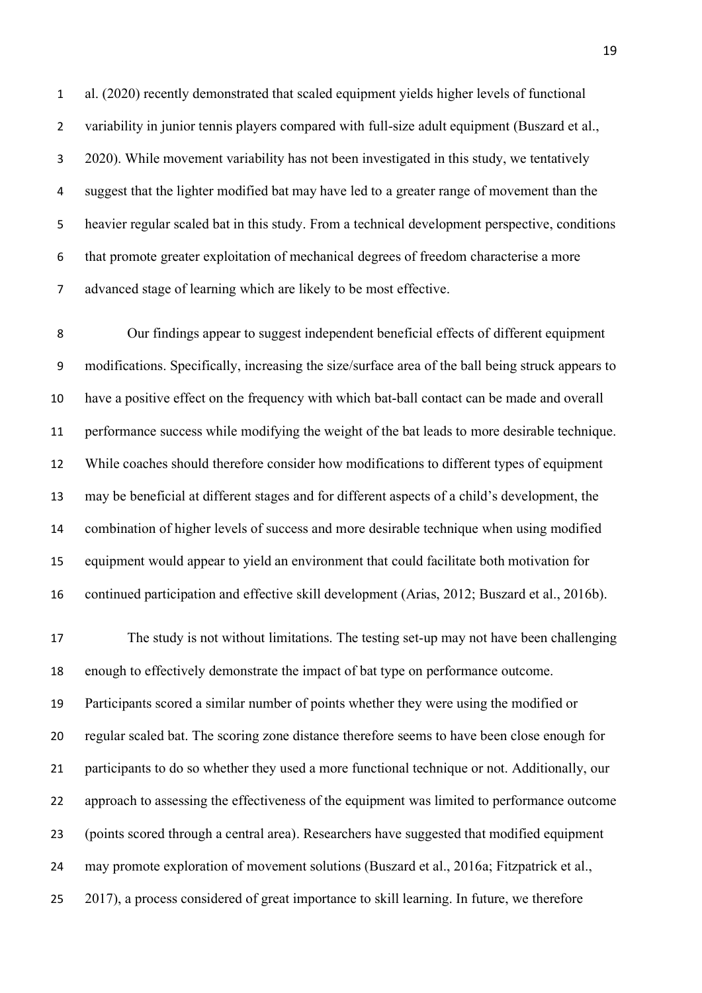al. (2020) recently demonstrated that scaled equipment yields higher levels of functional variability in junior tennis players compared with full-size adult equipment (Buszard et al., 2020). While movement variability has not been investigated in this study, we tentatively suggest that the lighter modified bat may have led to a greater range of movement than the heavier regular scaled bat in this study. From a technical development perspective, conditions that promote greater exploitation of mechanical degrees of freedom characterise a more advanced stage of learning which are likely to be most effective.

 Our findings appear to suggest independent beneficial effects of different equipment modifications. Specifically, increasing the size/surface area of the ball being struck appears to have a positive effect on the frequency with which bat-ball contact can be made and overall performance success while modifying the weight of the bat leads to more desirable technique. While coaches should therefore consider how modifications to different types of equipment may be beneficial at different stages and for different aspects of a child's development, the combination of higher levels of success and more desirable technique when using modified equipment would appear to yield an environment that could facilitate both motivation for continued participation and effective skill development (Arias, 2012; Buszard et al., 2016b).

 The study is not without limitations. The testing set-up may not have been challenging enough to effectively demonstrate the impact of bat type on performance outcome. Participants scored a similar number of points whether they were using the modified or regular scaled bat. The scoring zone distance therefore seems to have been close enough for participants to do so whether they used a more functional technique or not. Additionally, our approach to assessing the effectiveness of the equipment was limited to performance outcome (points scored through a central area). Researchers have suggested that modified equipment may promote exploration of movement solutions (Buszard et al., 2016a; Fitzpatrick et al., 2017), a process considered of great importance to skill learning. In future, we therefore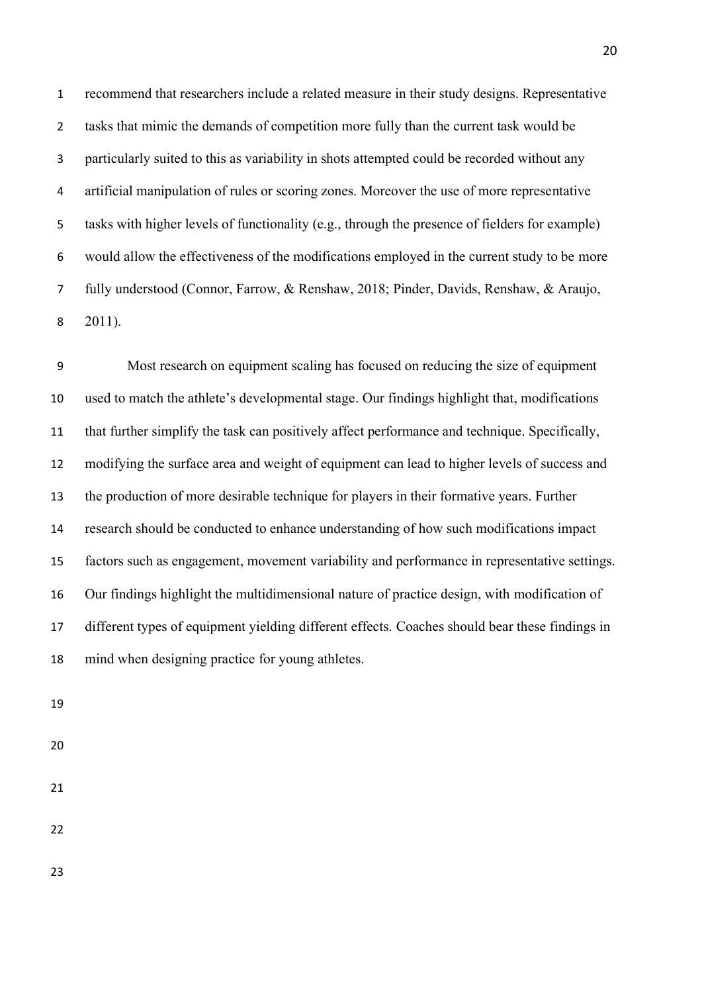recommend that researchers include a related measure in their study designs. Representative tasks that mimic the demands of competition more fully than the current task would be particularly suited to this as variability in shots attempted could be recorded without any artificial manipulation of rules or scoring zones. Moreover the use of more representative tasks with higher levels of functionality (e.g., through the presence of fielders for example) would allow the effectiveness of the modifications employed in the current study to be more fully understood (Connor, Farrow, & Renshaw, 2018; Pinder, Davids, Renshaw, & Araujo, 2011).

 Most research on equipment scaling has focused on reducing the size of equipment used to match the athlete's developmental stage. Our findings highlight that, modifications that further simplify the task can positively affect performance and technique. Specifically, modifying the surface area and weight of equipment can lead to higher levels of success and the production of more desirable technique for players in their formative years. Further research should be conducted to enhance understanding of how such modifications impact factors such as engagement, movement variability and performance in representative settings. Our findings highlight the multidimensional nature of practice design, with modification of different types of equipment yielding different effects. Coaches should bear these findings in mind when designing practice for young athletes.

- 
- 
- 
- 
-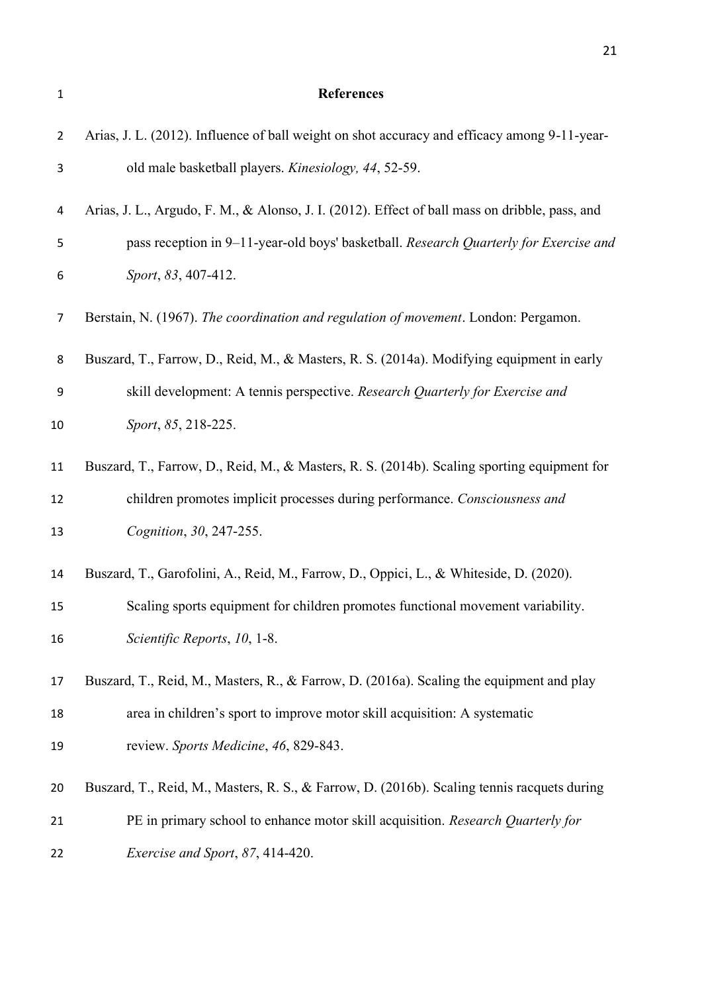| $\mathbf 1$    | <b>References</b>                                                                              |
|----------------|------------------------------------------------------------------------------------------------|
| $\overline{2}$ | Arias, J. L. (2012). Influence of ball weight on shot accuracy and efficacy among 9-11-year-   |
| 3              | old male basketball players. Kinesiology, 44, 52-59.                                           |
| 4              | Arias, J. L., Argudo, F. M., & Alonso, J. I. (2012). Effect of ball mass on dribble, pass, and |
| 5              | pass reception in 9-11-year-old boys' basketball. Research Quarterly for Exercise and          |
| 6              | Sport, 83, 407-412.                                                                            |
| 7              | Berstain, N. (1967). The coordination and regulation of movement. London: Pergamon.            |
| 8              | Buszard, T., Farrow, D., Reid, M., & Masters, R. S. (2014a). Modifying equipment in early      |
| 9              | skill development: A tennis perspective. Research Quarterly for Exercise and                   |
| 10             | Sport, 85, 218-225.                                                                            |
| 11             | Buszard, T., Farrow, D., Reid, M., & Masters, R. S. (2014b). Scaling sporting equipment for    |
| 12             | children promotes implicit processes during performance. Consciousness and                     |
| 13             | Cognition, 30, 247-255.                                                                        |
| 14             | Buszard, T., Garofolini, A., Reid, M., Farrow, D., Oppici, L., & Whiteside, D. (2020).         |
| 15             | Scaling sports equipment for children promotes functional movement variability.                |
| 16             | Scientific Reports, 10, 1-8.                                                                   |
| 17             | Buszard, T., Reid, M., Masters, R., & Farrow, D. (2016a). Scaling the equipment and play       |
| 18             | area in children's sport to improve motor skill acquisition: A systematic                      |
| 19             | review. Sports Medicine, 46, 829-843.                                                          |
| 20             | Buszard, T., Reid, M., Masters, R. S., & Farrow, D. (2016b). Scaling tennis racquets during    |
| 21             | PE in primary school to enhance motor skill acquisition. Research Quarterly for                |
| 22             | Exercise and Sport, 87, 414-420.                                                               |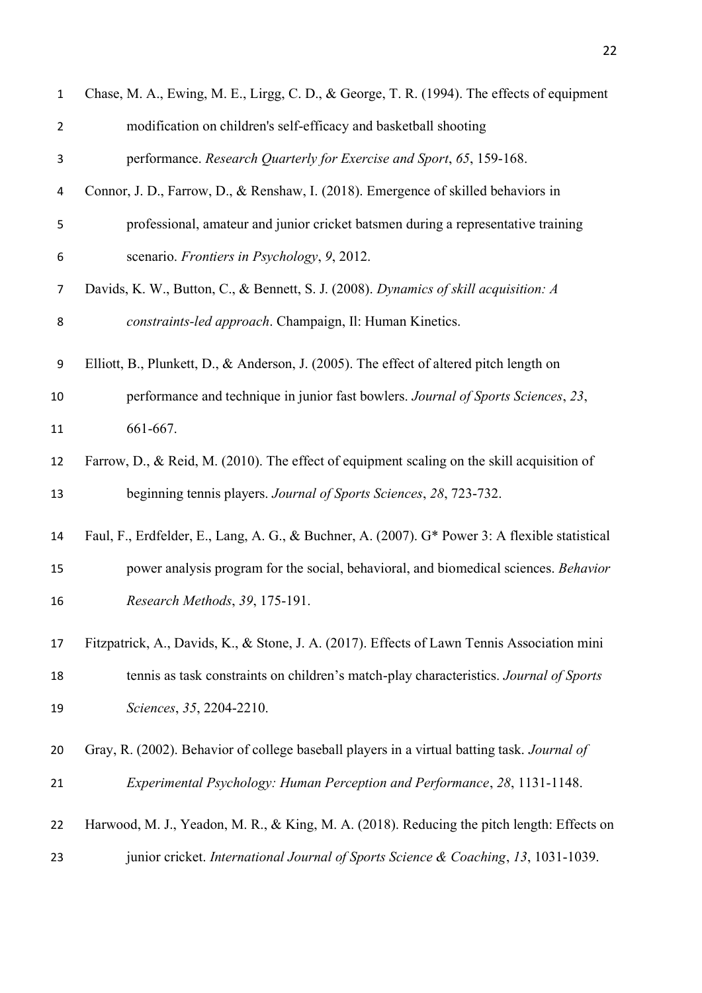| $\mathbf{1}$   | Chase, M. A., Ewing, M. E., Lirgg, C. D., & George, T. R. (1994). The effects of equipment     |
|----------------|------------------------------------------------------------------------------------------------|
| $\overline{2}$ | modification on children's self-efficacy and basketball shooting                               |
| 3              | performance. Research Quarterly for Exercise and Sport, 65, 159-168.                           |
| 4              | Connor, J. D., Farrow, D., & Renshaw, I. (2018). Emergence of skilled behaviors in             |
| 5              | professional, amateur and junior cricket batsmen during a representative training              |
| 6              | scenario. Frontiers in Psychology, 9, 2012.                                                    |
| $\overline{7}$ | Davids, K. W., Button, C., & Bennett, S. J. (2008). Dynamics of skill acquisition: A           |
| 8              | constraints-led approach. Champaign, Il: Human Kinetics.                                       |
| 9              | Elliott, B., Plunkett, D., & Anderson, J. (2005). The effect of altered pitch length on        |
| 10             | performance and technique in junior fast bowlers. Journal of Sports Sciences, 23,              |
| 11             | 661-667.                                                                                       |
| 12             | Farrow, D., & Reid, M. (2010). The effect of equipment scaling on the skill acquisition of     |
| 13             | beginning tennis players. Journal of Sports Sciences, 28, 723-732.                             |
| 14             | Faul, F., Erdfelder, E., Lang, A. G., & Buchner, A. (2007). G* Power 3: A flexible statistical |
| 15             | power analysis program for the social, behavioral, and biomedical sciences. Behavior           |
| 16             | Research Methods, 39, 175-191.                                                                 |
| 17             | Fitzpatrick, A., Davids, K., & Stone, J. A. (2017). Effects of Lawn Tennis Association mini    |
| 18             | tennis as task constraints on children's match-play characteristics. Journal of Sports         |
| 19             | Sciences, 35, 2204-2210.                                                                       |
| 20             | Gray, R. (2002). Behavior of college baseball players in a virtual batting task. Journal of    |
| 21             | Experimental Psychology: Human Perception and Performance, 28, 1131-1148.                      |
| 22             | Harwood, M. J., Yeadon, M. R., & King, M. A. (2018). Reducing the pitch length: Effects on     |
| 23             | junior cricket. International Journal of Sports Science & Coaching, 13, 1031-1039.             |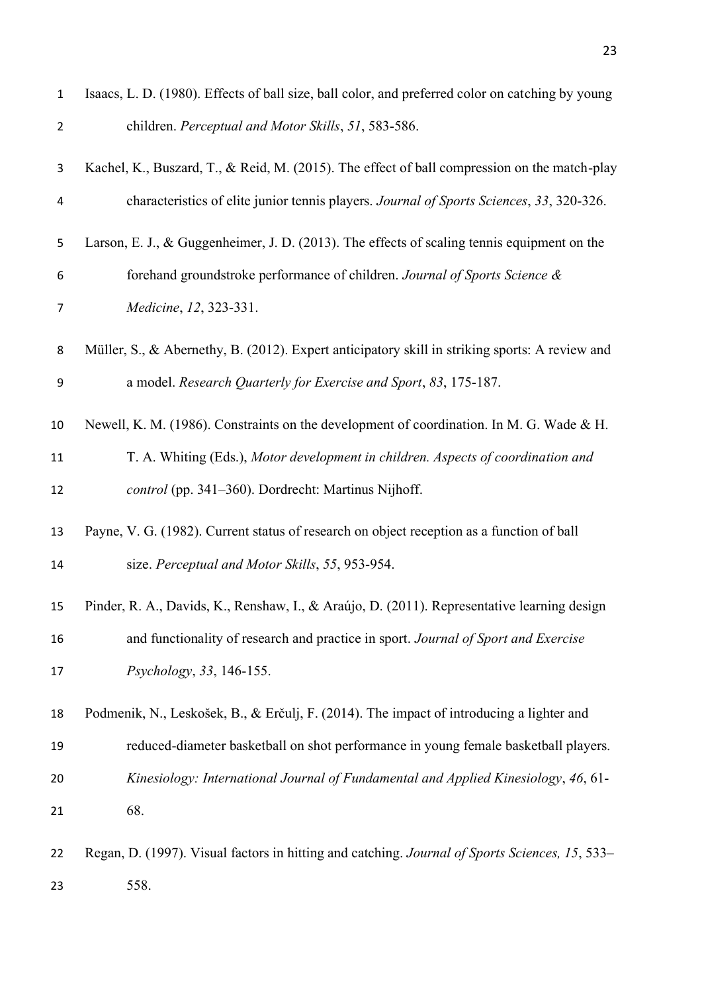| $\mathbf 1$    | Isaacs, L. D. (1980). Effects of ball size, ball color, and preferred color on catching by young |
|----------------|--------------------------------------------------------------------------------------------------|
| $\overline{2}$ | children. Perceptual and Motor Skills, 51, 583-586.                                              |
| 3              | Kachel, K., Buszard, T., & Reid, M. (2015). The effect of ball compression on the match-play     |
| 4              | characteristics of elite junior tennis players. Journal of Sports Sciences, 33, 320-326.         |
| 5              | Larson, E. J., & Guggenheimer, J. D. (2013). The effects of scaling tennis equipment on the      |
| 6              | forehand groundstroke performance of children. Journal of Sports Science &                       |
| 7              | Medicine, 12, 323-331.                                                                           |
| 8              | Müller, S., & Abernethy, B. (2012). Expert anticipatory skill in striking sports: A review and   |
| 9              | a model. Research Quarterly for Exercise and Sport, 83, 175-187.                                 |
| 10             | Newell, K. M. (1986). Constraints on the development of coordination. In M. G. Wade & H.         |
| 11             | T. A. Whiting (Eds.), Motor development in children. Aspects of coordination and                 |
| 12             | control (pp. 341–360). Dordrecht: Martinus Nijhoff.                                              |
| 13             | Payne, V. G. (1982). Current status of research on object reception as a function of ball        |
| 14             | size. Perceptual and Motor Skills, 55, 953-954.                                                  |
| 15             | Pinder, R. A., Davids, K., Renshaw, I., & Araújo, D. (2011). Representative learning design      |
| 16             | and functionality of research and practice in sport. Journal of Sport and Exercise               |
| 17             | Psychology, 33, 146-155.                                                                         |
| 18             | Podmenik, N., Leskošek, B., & Erčulj, F. (2014). The impact of introducing a lighter and         |
| 19             | reduced-diameter basketball on shot performance in young female basketball players.              |
| 20             | Kinesiology: International Journal of Fundamental and Applied Kinesiology, 46, 61-               |
| 21             | 68.                                                                                              |
| 22             | Regan, D. (1997). Visual factors in hitting and catching. Journal of Sports Sciences, 15, 533–   |
| 23             | 558.                                                                                             |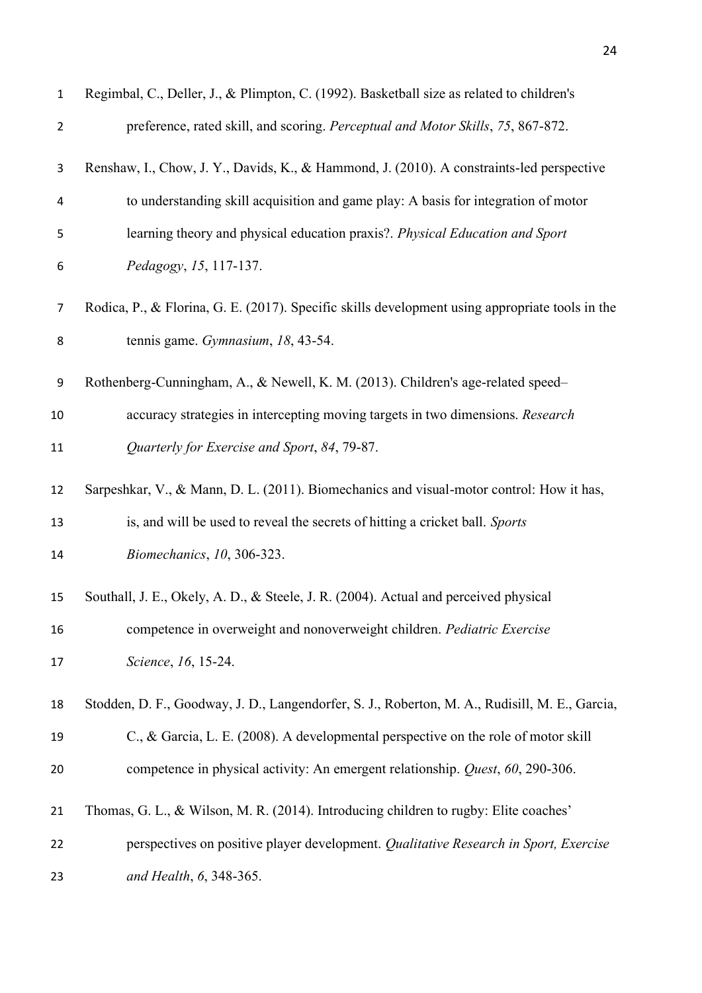| $\mathbf 1$    | Regimbal, C., Deller, J., & Plimpton, C. (1992). Basketball size as related to children's       |
|----------------|-------------------------------------------------------------------------------------------------|
| $\overline{2}$ | preference, rated skill, and scoring. Perceptual and Motor Skills, 75, 867-872.                 |
| 3              | Renshaw, I., Chow, J. Y., Davids, K., & Hammond, J. (2010). A constraints-led perspective       |
| 4              | to understanding skill acquisition and game play: A basis for integration of motor              |
| 5              | learning theory and physical education praxis?. Physical Education and Sport                    |
| 6              | Pedagogy, 15, 117-137.                                                                          |
| $\overline{7}$ | Rodica, P., & Florina, G. E. (2017). Specific skills development using appropriate tools in the |
| 8              | tennis game. Gymnasium, 18, 43-54.                                                              |
| 9              | Rothenberg-Cunningham, A., & Newell, K. M. (2013). Children's age-related speed-                |
| 10             | accuracy strategies in intercepting moving targets in two dimensions. Research                  |
| 11             | Quarterly for Exercise and Sport, 84, 79-87.                                                    |
| 12             | Sarpeshkar, V., & Mann, D. L. (2011). Biomechanics and visual-motor control: How it has,        |
| 13             | is, and will be used to reveal the secrets of hitting a cricket ball. Sports                    |
| 14             | Biomechanics, 10, 306-323.                                                                      |
| 15             | Southall, J. E., Okely, A. D., & Steele, J. R. (2004). Actual and perceived physical            |
| 16             | competence in overweight and nonoverweight children. Pediatric Exercise                         |
| 17             | Science, 16, 15-24.                                                                             |
| 18             | Stodden, D. F., Goodway, J. D., Langendorfer, S. J., Roberton, M. A., Rudisill, M. E., Garcia,  |
| 19             | C., & Garcia, L. E. (2008). A developmental perspective on the role of motor skill              |
| 20             | competence in physical activity: An emergent relationship. Quest, 60, 290-306.                  |
| 21             | Thomas, G. L., & Wilson, M. R. (2014). Introducing children to rugby: Elite coaches'            |
| 22             | perspectives on positive player development. Qualitative Research in Sport, Exercise            |
| 23             | and Health, 6, 348-365.                                                                         |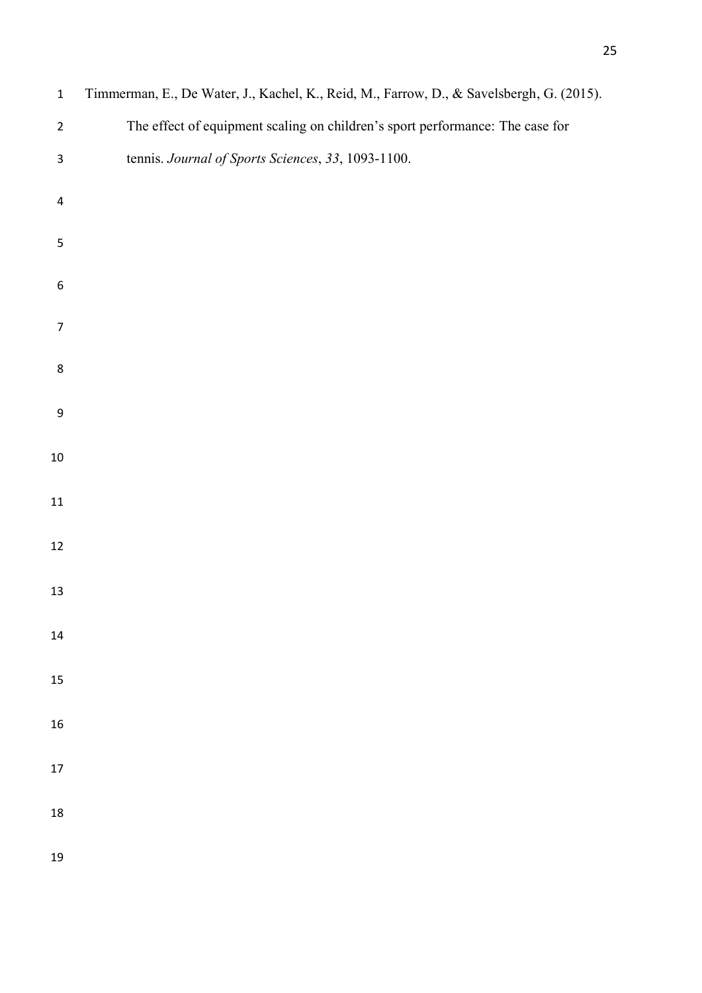| $\mathbf 1$               | Timmerman, E., De Water, J., Kachel, K., Reid, M., Farrow, D., & Savelsbergh, G. (2015). |
|---------------------------|------------------------------------------------------------------------------------------|
| $\overline{2}$            | The effect of equipment scaling on children's sport performance: The case for            |
| $\ensuremath{\mathsf{3}}$ | tennis. Journal of Sports Sciences, 33, 1093-1100.                                       |
| $\overline{\mathbf{4}}$   |                                                                                          |
| $\mathsf S$               |                                                                                          |
| $\boldsymbol{6}$          |                                                                                          |
| $\overline{7}$            |                                                                                          |
| $\bf 8$                   |                                                                                          |
| $\boldsymbol{9}$          |                                                                                          |
| 10                        |                                                                                          |
| 11                        |                                                                                          |
| 12                        |                                                                                          |
| 13                        |                                                                                          |
| 14                        |                                                                                          |
| 15                        |                                                                                          |
| 16                        |                                                                                          |
| 17                        |                                                                                          |
| 18                        |                                                                                          |
| 19                        |                                                                                          |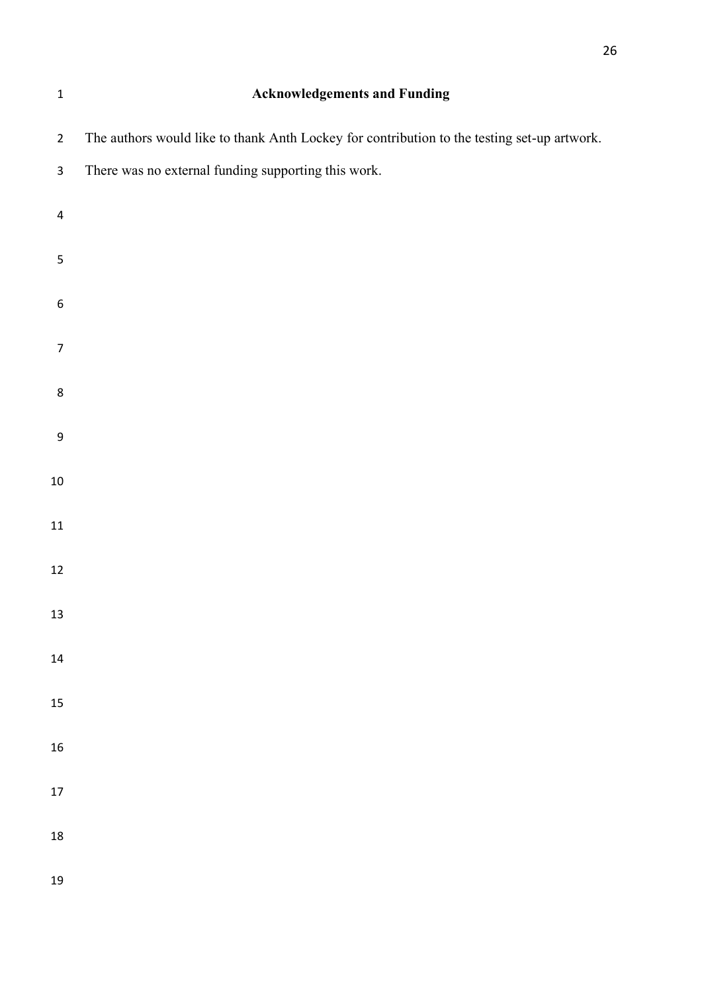| $\mathbf 1$              | <b>Acknowledgements and Funding</b>                                                         |
|--------------------------|---------------------------------------------------------------------------------------------|
| $\overline{2}$           | The authors would like to thank Anth Lockey for contribution to the testing set-up artwork. |
| $\mathbf{3}$             | There was no external funding supporting this work.                                         |
| $\overline{\mathcal{A}}$ |                                                                                             |
| $\mathsf S$              |                                                                                             |
| $\boldsymbol{6}$         |                                                                                             |
| $\overline{7}$           |                                                                                             |
| 8                        |                                                                                             |
| $\mathsf 9$              |                                                                                             |
| $10\,$                   |                                                                                             |
| $11\,$                   |                                                                                             |
| $12\,$                   |                                                                                             |
| 13                       |                                                                                             |
| 14                       |                                                                                             |
| 15                       |                                                                                             |
| 16                       |                                                                                             |
| $17\,$                   |                                                                                             |
| 18                       |                                                                                             |
| 19                       |                                                                                             |